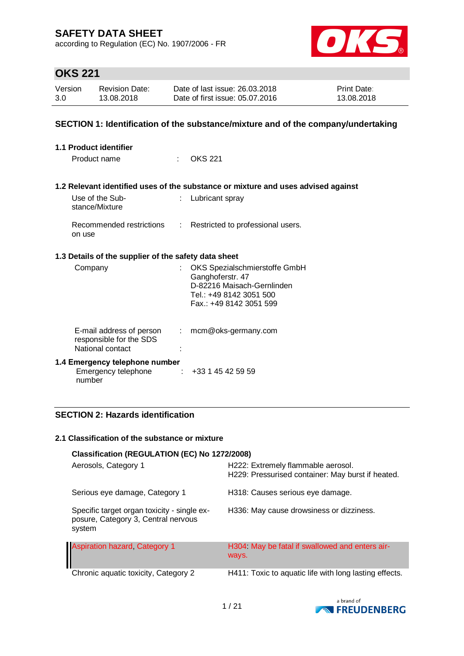according to Regulation (EC) No. 1907/2006 - FR



## **OKS 221**

| Version | <b>Revision Date:</b> | Date of last issue: 26.03.2018  | <b>Print Date:</b> |
|---------|-----------------------|---------------------------------|--------------------|
| 3.0     | 13.08.2018            | Date of first issue: 05.07.2016 | 13.08.2018         |

### **SECTION 1: Identification of the substance/mixture and of the company/undertaking**

| 1.1 Product identifier                                                  |                            |                                                                                                            |  |  |  |
|-------------------------------------------------------------------------|----------------------------|------------------------------------------------------------------------------------------------------------|--|--|--|
| Product name                                                            | $\mathcal{L}^{\text{max}}$ | OKS 221                                                                                                    |  |  |  |
|                                                                         |                            |                                                                                                            |  |  |  |
|                                                                         |                            | 1.2 Relevant identified uses of the substance or mixture and uses advised against                          |  |  |  |
| Use of the Sub-<br>stance/Mixture                                       |                            | Lubricant spray                                                                                            |  |  |  |
| Recommended restrictions<br>on use                                      |                            | : Restricted to professional users.                                                                        |  |  |  |
| 1.3 Details of the supplier of the safety data sheet                    |                            |                                                                                                            |  |  |  |
| Company                                                                 |                            | OKS Spezialschmierstoffe GmbH<br>Ganghoferstr. 47<br>D-82216 Maisach-Gernlinden<br>Tel.: +49 8142 3051 500 |  |  |  |
|                                                                         |                            | Fax.: +49 8142 3051 599                                                                                    |  |  |  |
| E-mail address of person<br>responsible for the SDS<br>National contact | $\mathcal{L}$              | mcm@oks-germany.com                                                                                        |  |  |  |
| 1.4 Emergency telephone number                                          |                            |                                                                                                            |  |  |  |
| Emergency telephone<br>number                                           |                            | $\div$ +33 1 45 42 59 59                                                                                   |  |  |  |

### **SECTION 2: Hazards identification**

#### **2.1 Classification of the substance or mixture**

| Classification (REGULATION (EC) No 1272/2008)                                                |                                                                                         |
|----------------------------------------------------------------------------------------------|-----------------------------------------------------------------------------------------|
| Aerosols, Category 1                                                                         | H222: Extremely flammable aerosol.<br>H229: Pressurised container: May burst if heated. |
| Serious eye damage, Category 1                                                               | H318: Causes serious eye damage.                                                        |
| Specific target organ toxicity - single ex-<br>posure, Category 3, Central nervous<br>system | H336: May cause drowsiness or dizziness.                                                |
| <b>Aspiration hazard, Category 1</b>                                                         | H304 May be fatal if swallowed and enters air-<br>ways.                                 |
| Chronic aquatic toxicity, Category 2                                                         | H411: Toxic to aquatic life with long lasting effects.                                  |

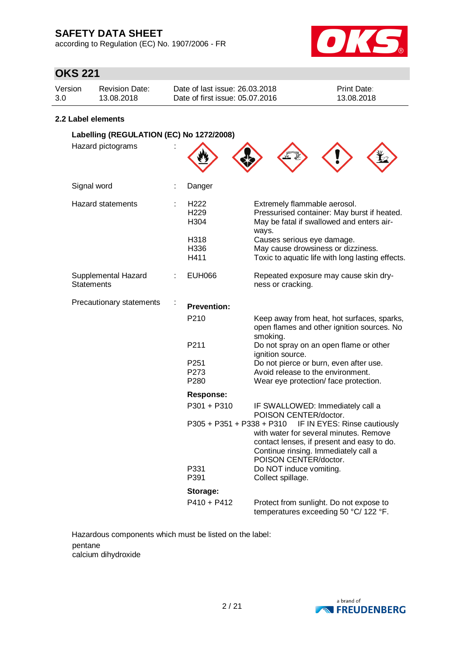according to Regulation (EC) No. 1907/2006 - FR



## **OKS 221**

| Version | <b>Revision Date:</b> | Date of last issue: 26.03.2018  | <b>Print Date:</b> |
|---------|-----------------------|---------------------------------|--------------------|
| 3.0     | 13.08.2018            | Date of first issue: 05.07.2016 | 13.08.2018         |
|         |                       |                                 |                    |

#### **2.2 Label elements**

| Labelling (REGULATION (EC) No 1272/2008) |                                  |                                                                                                                                                                                       |  |  |
|------------------------------------------|----------------------------------|---------------------------------------------------------------------------------------------------------------------------------------------------------------------------------------|--|--|
| Hazard pictograms                        |                                  |                                                                                                                                                                                       |  |  |
| Signal word<br>÷                         | Danger                           |                                                                                                                                                                                       |  |  |
| <b>Hazard statements</b><br>t            | H222<br>H <sub>229</sub><br>H304 | Extremely flammable aerosol.<br>Pressurised container: May burst if heated.<br>May be fatal if swallowed and enters air-<br>ways.                                                     |  |  |
|                                          | H318<br>H336<br>H411             | Causes serious eye damage.<br>May cause drowsiness or dizziness.<br>Toxic to aquatic life with long lasting effects.                                                                  |  |  |
| Supplemental Hazard<br><b>Statements</b> | <b>EUH066</b>                    | Repeated exposure may cause skin dry-<br>ness or cracking.                                                                                                                            |  |  |
| Precautionary statements                 | <b>Prevention:</b>               |                                                                                                                                                                                       |  |  |
|                                          | P <sub>210</sub>                 | Keep away from heat, hot surfaces, sparks,<br>open flames and other ignition sources. No<br>smoking.                                                                                  |  |  |
|                                          | P211                             | Do not spray on an open flame or other<br>ignition source.                                                                                                                            |  |  |
|                                          | P251                             | Do not pierce or burn, even after use.                                                                                                                                                |  |  |
|                                          | P273                             | Avoid release to the environment.                                                                                                                                                     |  |  |
|                                          | P280                             | Wear eye protection/face protection.                                                                                                                                                  |  |  |
|                                          | <b>Response:</b>                 |                                                                                                                                                                                       |  |  |
|                                          | P301 + P310                      | IF SWALLOWED: Immediately call a<br>POISON CENTER/doctor.                                                                                                                             |  |  |
|                                          | P305 + P351 + P338 + P310        | IF IN EYES: Rinse cautiously<br>with water for several minutes. Remove<br>contact lenses, if present and easy to do.<br>Continue rinsing. Immediately call a<br>POISON CENTER/doctor. |  |  |
|                                          | P331<br>P391                     | Do NOT induce vomiting.<br>Collect spillage.                                                                                                                                          |  |  |
|                                          | Storage:                         |                                                                                                                                                                                       |  |  |
|                                          | $P410 + P412$                    | Protect from sunlight. Do not expose to<br>temperatures exceeding 50 °C/ 122 °F.                                                                                                      |  |  |

Hazardous components which must be listed on the label: pentane calcium dihydroxide

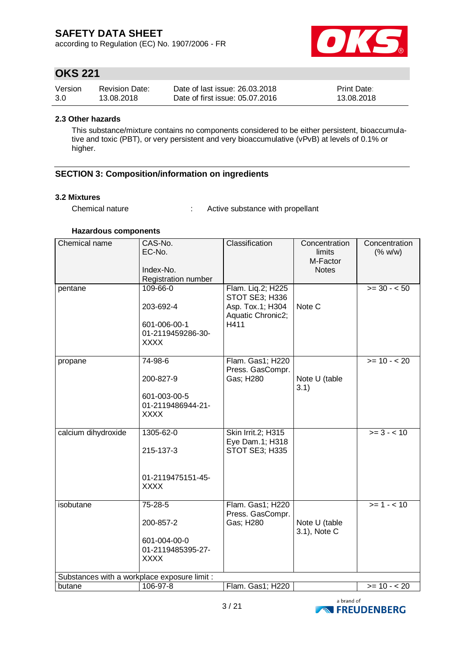according to Regulation (EC) No. 1907/2006 - FR



## **OKS 221**

| Version | <b>Revision Date:</b> | Date of last issue: 26.03.2018  | <b>Print Date:</b> |
|---------|-----------------------|---------------------------------|--------------------|
| 3.0     | 13.08.2018            | Date of first issue: 05.07.2016 | 13.08.2018         |

#### **2.3 Other hazards**

This substance/mixture contains no components considered to be either persistent, bioaccumulative and toxic (PBT), or very persistent and very bioaccumulative (vPvB) at levels of 0.1% or higher.

### **SECTION 3: Composition/information on ingredients**

#### **3.2 Mixtures**

Chemical nature : Active substance with propellant

#### **Hazardous components**

| Chemical name                                | CAS-No.<br>EC-No.<br>Index-No.<br>Registration number                     | Classification                                                                       | Concentration<br>limits<br>M-Factor<br><b>Notes</b> | Concentration<br>(% w/w) |
|----------------------------------------------|---------------------------------------------------------------------------|--------------------------------------------------------------------------------------|-----------------------------------------------------|--------------------------|
| pentane                                      | 109-66-0<br>203-692-4<br>601-006-00-1<br>01-2119459286-30-<br><b>XXXX</b> | Flam. Liq.2; H225<br>STOT SE3; H336<br>Asp. Tox.1; H304<br>Aquatic Chronic2;<br>H411 | Note C                                              | $>= 30 - 50$             |
| propane                                      | 74-98-6<br>200-827-9<br>601-003-00-5<br>01-2119486944-21-<br><b>XXXX</b>  | Flam. Gas1; H220<br>Press. GasCompr.<br>Gas; H280                                    | Note U (table<br>3.1)                               | $>= 10 - 20$             |
| calcium dihydroxide                          | 1305-62-0<br>215-137-3<br>01-2119475151-45-<br><b>XXXX</b>                | Skin Irrit.2; H315<br>Eye Dam.1; H318<br>STOT SE3; H335                              |                                                     | $>= 3 - 10$              |
| isobutane                                    | 75-28-5<br>200-857-2<br>601-004-00-0<br>01-2119485395-27-<br><b>XXXX</b>  | Flam. Gas1; H220<br>Press. GasCompr.<br>Gas; H280                                    | Note U (table<br>3.1), Note C                       | $>= 1 - 10$              |
| Substances with a workplace exposure limit : |                                                                           |                                                                                      |                                                     |                          |
| butane                                       | 106-97-8                                                                  | Flam. Gas1; H220                                                                     |                                                     | $>= 10 - 20$             |

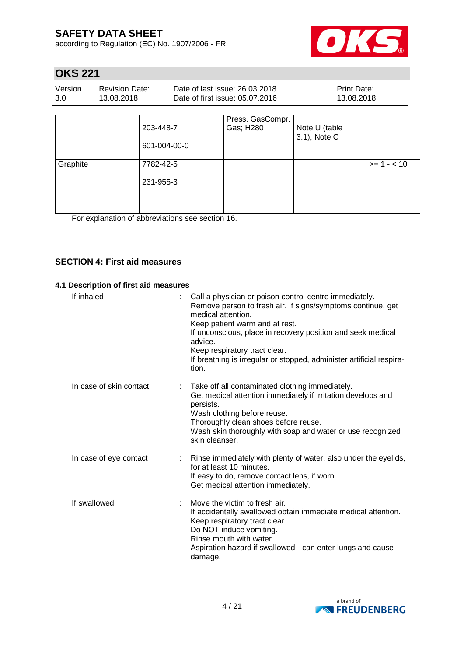according to Regulation (EC) No. 1907/2006 - FR



## **OKS 221**

| Version<br>3.0 | <b>Revision Date:</b><br>13.08.2018 |                           | Date of last issue: 26.03.2018<br>Date of first issue: 05.07.2016 | <b>Print Date:</b><br>13.08.2018 |             |
|----------------|-------------------------------------|---------------------------|-------------------------------------------------------------------|----------------------------------|-------------|
|                |                                     | 203-448-7<br>601-004-00-0 | Press. GasCompr.<br>Gas; H280                                     | Note U (table<br>3.1), Note C    |             |
| Graphite       | 7782-42-5<br>231-955-3              |                           |                                                                   |                                  | $>= 1 - 10$ |

For explanation of abbreviations see section 16.

### **SECTION 4: First aid measures**

#### **4.1 Description of first aid measures**

| If inhaled              | t. | Call a physician or poison control centre immediately.<br>Remove person to fresh air. If signs/symptoms continue, get<br>medical attention.<br>Keep patient warm and at rest.<br>If unconscious, place in recovery position and seek medical<br>advice.<br>Keep respiratory tract clear.<br>If breathing is irregular or stopped, administer artificial respira-<br>tion. |
|-------------------------|----|---------------------------------------------------------------------------------------------------------------------------------------------------------------------------------------------------------------------------------------------------------------------------------------------------------------------------------------------------------------------------|
| In case of skin contact |    | Take off all contaminated clothing immediately.<br>Get medical attention immediately if irritation develops and<br>persists.<br>Wash clothing before reuse.<br>Thoroughly clean shoes before reuse.<br>Wash skin thoroughly with soap and water or use recognized<br>skin cleanser.                                                                                       |
| In case of eye contact  |    | Rinse immediately with plenty of water, also under the eyelids,<br>for at least 10 minutes.<br>If easy to do, remove contact lens, if worn.<br>Get medical attention immediately.                                                                                                                                                                                         |
| If swallowed            |    | Move the victim to fresh air.<br>If accidentally swallowed obtain immediate medical attention.<br>Keep respiratory tract clear.<br>Do NOT induce vomiting.<br>Rinse mouth with water.<br>Aspiration hazard if swallowed - can enter lungs and cause<br>damage.                                                                                                            |

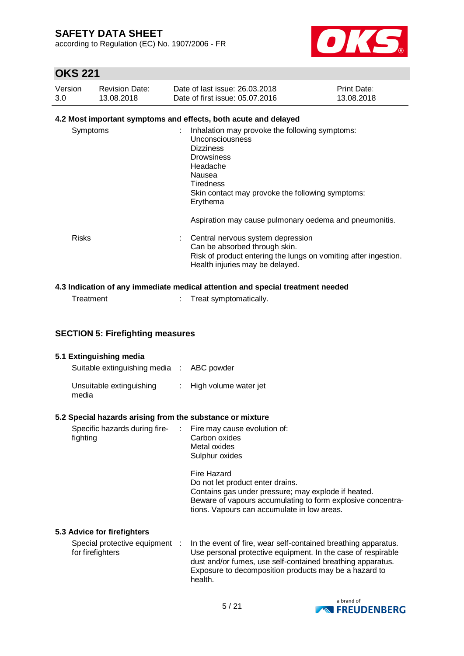according to Regulation (EC) No. 1907/2006 - FR



## **OKS 221**

| Version | <b>Revision Date:</b> | Date of last issue: 26.03.2018  | <b>Print Date:</b> |
|---------|-----------------------|---------------------------------|--------------------|
| 3.0     | 13.08.2018            | Date of first issue: 05.07.2016 | 13.08.2018         |

### **4.2 Most important symptoms and effects, both acute and delayed**

| Symptoms     | Inhalation may provoke the following symptoms:<br><b>Unconsciousness</b><br><b>Dizziness</b><br><b>Drowsiness</b><br>Headache<br>Nausea<br><b>Tiredness</b><br>Skin contact may provoke the following symptoms:<br>Erythema |  |
|--------------|-----------------------------------------------------------------------------------------------------------------------------------------------------------------------------------------------------------------------------|--|
|              | Aspiration may cause pulmonary oedema and pneumonitis.                                                                                                                                                                      |  |
| <b>Risks</b> | Central nervous system depression<br>Can be absorbed through skin.<br>Risk of product entering the lungs on vomiting after ingestion.<br>Health injuries may be delayed.                                                    |  |

### **4.3 Indication of any immediate medical attention and special treatment needed**

Treatment : Treat symptomatically.

| <b>SECTION 5: Firefighting measures</b>                   |                |                                                                                                                                                                                                                                                                  |  |  |
|-----------------------------------------------------------|----------------|------------------------------------------------------------------------------------------------------------------------------------------------------------------------------------------------------------------------------------------------------------------|--|--|
| 5.1 Extinguishing media                                   |                |                                                                                                                                                                                                                                                                  |  |  |
| Suitable extinguishing media : ABC powder                 |                |                                                                                                                                                                                                                                                                  |  |  |
| Unsuitable extinguishing<br>media                         | $\mathbb{R}^n$ | High volume water jet                                                                                                                                                                                                                                            |  |  |
| 5.2 Special hazards arising from the substance or mixture |                |                                                                                                                                                                                                                                                                  |  |  |
| Specific hazards during fire-<br>fighting                 |                | Fire may cause evolution of:<br>Carbon oxides<br>Metal oxides<br>Sulphur oxides                                                                                                                                                                                  |  |  |
|                                                           |                | Fire Hazard<br>Do not let product enter drains.<br>Contains gas under pressure; may explode if heated.<br>Beware of vapours accumulating to form explosive concentra-<br>tions. Vapours can accumulate in low areas.                                             |  |  |
| 5.3 Advice for firefighters                               |                |                                                                                                                                                                                                                                                                  |  |  |
| Special protective equipment :<br>for firefighters        |                | In the event of fire, wear self-contained breathing apparatus.<br>Use personal protective equipment. In the case of respirable<br>dust and/or fumes, use self-contained breathing apparatus.<br>Exposure to decomposition products may be a hazard to<br>health. |  |  |

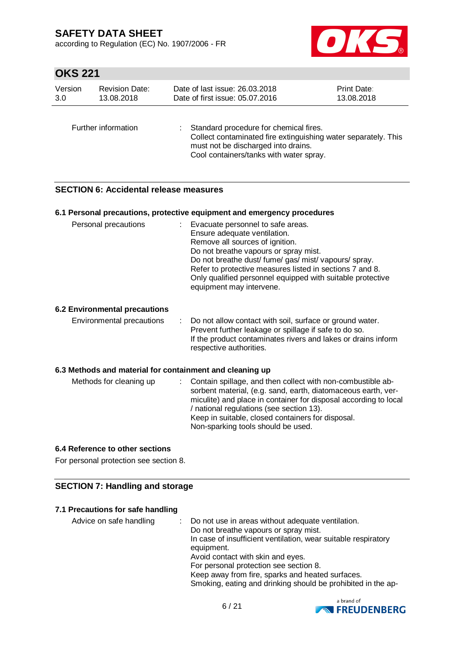according to Regulation (EC) No. 1907/2006 - FR



# **OKS 221**

| <b>Revision Date:</b> |                     | Date of last issue: 26.03.2018                                                                                                                                                             |  |  |  |
|-----------------------|---------------------|--------------------------------------------------------------------------------------------------------------------------------------------------------------------------------------------|--|--|--|
| Version               |                     | Print Date:                                                                                                                                                                                |  |  |  |
| 13.08.2018            |                     | Date of first issue: 05.07.2016                                                                                                                                                            |  |  |  |
| 3.0                   |                     | 13.08.2018                                                                                                                                                                                 |  |  |  |
|                       | Further information | Standard procedure for chemical fires.<br>Collect contaminated fire extinguishing water separately. This<br>must not be discharged into drains.<br>Cool containers/tanks with water spray. |  |  |  |

### **SECTION 6: Accidental release measures**

|                                                          | 6.1 Personal precautions, protective equipment and emergency procedures                                                                                                                                                                                                                                                                                        |
|----------------------------------------------------------|----------------------------------------------------------------------------------------------------------------------------------------------------------------------------------------------------------------------------------------------------------------------------------------------------------------------------------------------------------------|
| Personal precautions                                     | : Evacuate personnel to safe areas.<br>Ensure adequate ventilation.<br>Remove all sources of ignition.<br>Do not breathe vapours or spray mist.<br>Do not breathe dust/ fume/ gas/ mist/ vapours/ spray.<br>Refer to protective measures listed in sections 7 and 8.<br>Only qualified personnel equipped with suitable protective<br>equipment may intervene. |
| <b>6.2 Environmental precautions</b>                     |                                                                                                                                                                                                                                                                                                                                                                |
| Environmental precautions                                | Do not allow contact with soil, surface or ground water.<br>Prevent further leakage or spillage if safe to do so.<br>If the product contaminates rivers and lakes or drains inform<br>respective authorities.                                                                                                                                                  |
| 6.3 Methods and material for containment and cleaning up |                                                                                                                                                                                                                                                                                                                                                                |
| Methods for cleaning up                                  | Contain spillage, and then collect with non-combustible ab-<br>sorbent material, (e.g. sand, earth, diatomaceous earth, ver-<br>miculite) and place in container for disposal according to local<br>/ national regulations (see section 13).<br>Keep in suitable, closed containers for disposal.<br>Non-sparking tools should be used.                        |

#### **6.4 Reference to other sections**

For personal protection see section 8.

### **SECTION 7: Handling and storage**

#### **7.1 Precautions for safe handling**

| Advice on safe handling | : Do not use in areas without adequate ventilation.            |
|-------------------------|----------------------------------------------------------------|
|                         | Do not breathe vapours or spray mist.                          |
|                         | In case of insufficient ventilation, wear suitable respiratory |
|                         | equipment.                                                     |
|                         | Avoid contact with skin and eyes.                              |
|                         | For personal protection see section 8.                         |
|                         | Keep away from fire, sparks and heated surfaces.               |
|                         | Smoking, eating and drinking should be prohibited in the ap-   |

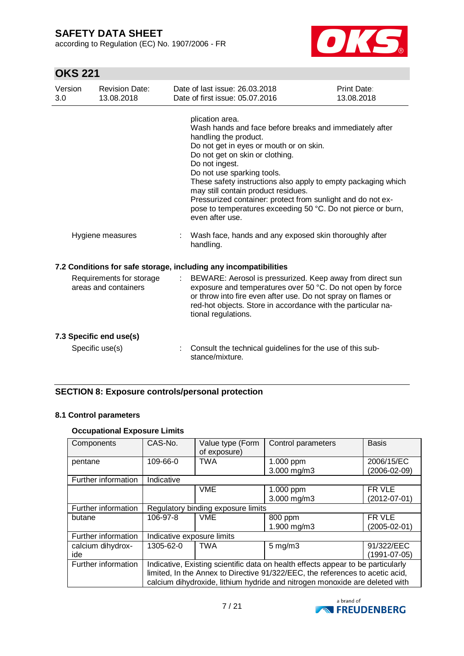according to Regulation (EC) No. 1907/2006 - FR



# **OKS 221**

| Version<br>3.0 | <b>Revision Date:</b><br>13.08.2018              | Date of last issue: 26.03.2018<br>Date of first issue: 05.07.2016                                                                                                                                                                                                                                                                                                                                                                                                                           | Print Date:<br>13.08.2018 |
|----------------|--------------------------------------------------|---------------------------------------------------------------------------------------------------------------------------------------------------------------------------------------------------------------------------------------------------------------------------------------------------------------------------------------------------------------------------------------------------------------------------------------------------------------------------------------------|---------------------------|
|                |                                                  | plication area.<br>Wash hands and face before breaks and immediately after<br>handling the product.<br>Do not get in eyes or mouth or on skin.<br>Do not get on skin or clothing.<br>Do not ingest.<br>Do not use sparking tools.<br>These safety instructions also apply to empty packaging which<br>may still contain product residues.<br>Pressurized container: protect from sunlight and do not ex-<br>pose to temperatures exceeding 50 °C. Do not pierce or burn,<br>even after use. |                           |
|                | Hygiene measures                                 | Wash face, hands and any exposed skin thoroughly after<br>handling.                                                                                                                                                                                                                                                                                                                                                                                                                         |                           |
|                | Requirements for storage<br>areas and containers | 7.2 Conditions for safe storage, including any incompatibilities<br>BEWARE: Aerosol is pressurized. Keep away from direct sun<br>$\mathbb{Z}^{\mathbb{Z}}$<br>exposure and temperatures over 50 °C. Do not open by force<br>or throw into fire even after use. Do not spray on flames or<br>red-hot objects. Store in accordance with the particular na-<br>tional regulations.                                                                                                             |                           |
|                | 7.3 Specific end use(s)<br>Specific use(s)       | Consult the technical guidelines for the use of this sub-<br>stance/mixture.                                                                                                                                                                                                                                                                                                                                                                                                                |                           |

### **SECTION 8: Exposure controls/personal protection**

### **8.1 Control parameters**

### **Occupational Exposure Limits**

| Components          | CAS-No.                                                                          | Value type (Form<br>of exposure) | Control parameters  | <b>Basis</b>       |  |
|---------------------|----------------------------------------------------------------------------------|----------------------------------|---------------------|--------------------|--|
| pentane             | 109-66-0                                                                         | <b>TWA</b>                       | 1.000 ppm           | 2006/15/EC         |  |
|                     |                                                                                  |                                  | 3.000 mg/m3         | (2006-02-09)       |  |
| Further information | Indicative                                                                       |                                  |                     |                    |  |
|                     |                                                                                  | <b>VME</b>                       | 1.000 ppm           | FR VLE             |  |
|                     |                                                                                  |                                  | 3.000 mg/m3         | $(2012 - 07 - 01)$ |  |
| Further information | Regulatory binding exposure limits                                               |                                  |                     |                    |  |
| butane              | 106-97-8                                                                         | <b>VME</b>                       | 800 ppm             | FR VLE             |  |
|                     |                                                                                  |                                  | 1.900 mg/m3         | (2005-02-01)       |  |
| Further information | Indicative exposure limits                                                       |                                  |                     |                    |  |
| calcium dihydrox-   | 1305-62-0                                                                        | TWA                              | $5 \,\mathrm{mg/m}$ | 91/322/EEC         |  |
| ide                 |                                                                                  |                                  |                     | (1991-07-05)       |  |
| Further information | Indicative, Existing scientific data on health effects appear to be particularly |                                  |                     |                    |  |
|                     | limited, In the Annex to Directive 91/322/EEC, the references to acetic acid,    |                                  |                     |                    |  |
|                     | calcium dihydroxide, lithium hydride and nitrogen monoxide are deleted with      |                                  |                     |                    |  |

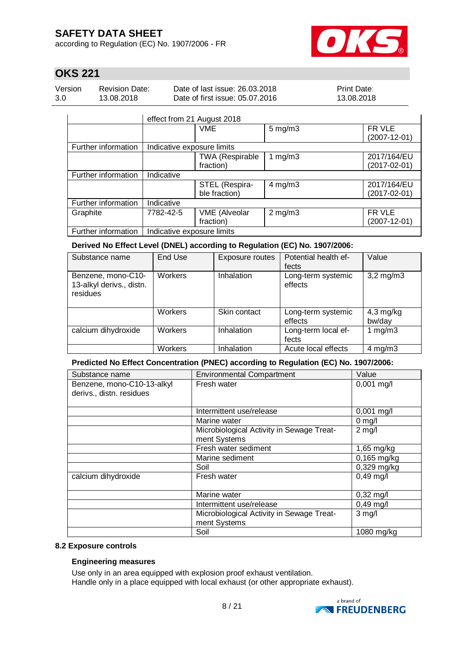according to Regulation (EC) No. 1907/2006 - FR



## **OKS 221**

| Version | <b>Revision Date:</b> | Date of last issue: 26,03,2018  | <b>Print Date:</b> |
|---------|-----------------------|---------------------------------|--------------------|
| 3.0     | 13.08.2018            | Date of first issue: 05.07.2016 | 13.08.2018         |

|                     | effect from 21 August 2018 |                                     |              |                                   |  |
|---------------------|----------------------------|-------------------------------------|--------------|-----------------------------------|--|
|                     |                            | <b>VME</b>                          | $5$ mg/m $3$ | FR VLE<br>$(2007 - 12 - 01)$      |  |
| Further information | Indicative exposure limits |                                     |              |                                   |  |
|                     |                            | <b>TWA (Respirable</b><br>fraction) | 1 $mg/m3$    | 2017/164/EU<br>$(2017 - 02 - 01)$ |  |
| Further information | Indicative                 |                                     |              |                                   |  |
|                     |                            | STEL (Respira-<br>ble fraction)     | $4$ mg/m $3$ | 2017/164/EU<br>$(2017-02-01)$     |  |
| Further information | Indicative                 |                                     |              |                                   |  |
| Graphite            | 7782-42-5                  | <b>VME</b> (Alveolar<br>fraction)   | $2$ mg/m $3$ | FR VLE<br>$(2007 - 12 - 01)$      |  |
| Further information | Indicative exposure limits |                                     |              |                                   |  |

#### **Derived No Effect Level (DNEL) according to Regulation (EC) No. 1907/2006:**

| Substance name                                             | End Use        | Exposure routes | Potential health ef-<br>fects | Value                 |
|------------------------------------------------------------|----------------|-----------------|-------------------------------|-----------------------|
| Benzene, mono-C10-<br>13-alkyl derivs., distn.<br>residues | <b>Workers</b> | Inhalation      | Long-term systemic<br>effects | $3,2$ mg/m $3$        |
|                                                            | <b>Workers</b> | Skin contact    | Long-term systemic<br>effects | $4,3$ mg/kg<br>bw/day |
| calcium dihydroxide                                        | <b>Workers</b> | Inhalation      | Long-term local ef-<br>fects  | 1 $mg/m3$             |
|                                                            | Workers        | Inhalation      | Acute local effects           | $4$ mg/m $3$          |

### **Predicted No Effect Concentration (PNEC) according to Regulation (EC) No. 1907/2006:**

| Substance name                                         | <b>Environmental Compartment</b>                          | Value         |
|--------------------------------------------------------|-----------------------------------------------------------|---------------|
| Benzene, mono-C10-13-alkyl<br>derivs., distn. residues | Fresh water                                               | $0,001$ mg/l  |
|                                                        | Intermittent use/release                                  | $0,001$ mg/l  |
|                                                        | Marine water                                              | $0$ mg/l      |
|                                                        | Microbiological Activity in Sewage Treat-<br>ment Systems | $2$ mg/l      |
|                                                        | Fresh water sediment                                      | 1,65 mg/kg    |
|                                                        | Marine sediment                                           | $0,165$ mg/kg |
|                                                        | Soil                                                      | 0,329 mg/kg   |
| calcium dihydroxide                                    | Fresh water                                               | $0,49$ mg/l   |
|                                                        | Marine water                                              | $0,32$ mg/l   |
|                                                        | Intermittent use/release                                  | $0,49$ mg/l   |
|                                                        | Microbiological Activity in Sewage Treat-<br>ment Systems | $3$ mg/l      |
|                                                        | Soil                                                      | 1080 mg/kg    |

#### **8.2 Exposure controls**

#### **Engineering measures**

Use only in an area equipped with explosion proof exhaust ventilation. Handle only in a place equipped with local exhaust (or other appropriate exhaust).

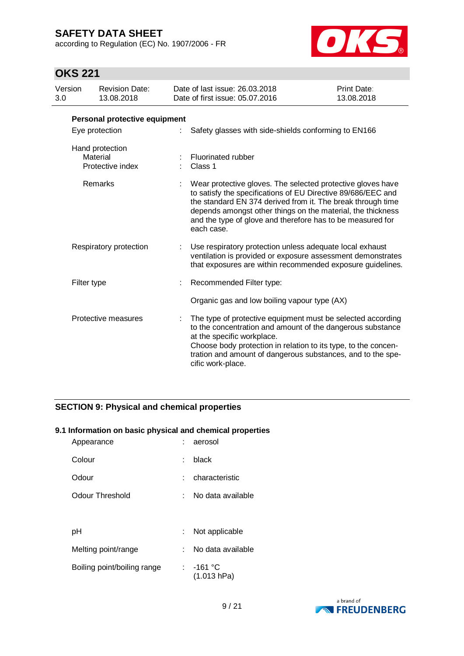according to Regulation (EC) No. 1907/2006 - FR



## **OKS 221**

| Version                |             | <b>Revision Date:</b>                                                                                                                                                                 | Date of last issue: 26.03.2018                                                                                                                                                                                                                                                                                                        | <b>Print Date:</b> |  |  |
|------------------------|-------------|---------------------------------------------------------------------------------------------------------------------------------------------------------------------------------------|---------------------------------------------------------------------------------------------------------------------------------------------------------------------------------------------------------------------------------------------------------------------------------------------------------------------------------------|--------------------|--|--|
| 3.0                    |             | 13.08.2018                                                                                                                                                                            | Date of first issue: 05.07.2016                                                                                                                                                                                                                                                                                                       | 13.08.2018         |  |  |
|                        |             | Personal protective equipment                                                                                                                                                         |                                                                                                                                                                                                                                                                                                                                       |                    |  |  |
|                        |             | Eye protection                                                                                                                                                                        | Safety glasses with side-shields conforming to EN166                                                                                                                                                                                                                                                                                  |                    |  |  |
|                        | Material    | Hand protection<br>Protective index                                                                                                                                                   | Fluorinated rubber<br>Class 1                                                                                                                                                                                                                                                                                                         |                    |  |  |
|                        |             | Remarks                                                                                                                                                                               | Wear protective gloves. The selected protective gloves have<br>to satisfy the specifications of EU Directive 89/686/EEC and<br>the standard EN 374 derived from it. The break through time<br>depends amongst other things on the material, the thickness<br>and the type of glove and therefore has to be measured for<br>each case. |                    |  |  |
| Respiratory protection |             | Use respiratory protection unless adequate local exhaust<br>ventilation is provided or exposure assessment demonstrates<br>that exposures are within recommended exposure guidelines. |                                                                                                                                                                                                                                                                                                                                       |                    |  |  |
|                        | Filter type |                                                                                                                                                                                       | Recommended Filter type:                                                                                                                                                                                                                                                                                                              |                    |  |  |
|                        |             |                                                                                                                                                                                       | Organic gas and low boiling vapour type (AX)                                                                                                                                                                                                                                                                                          |                    |  |  |
|                        |             | Protective measures                                                                                                                                                                   | The type of protective equipment must be selected according<br>to the concentration and amount of the dangerous substance<br>at the specific workplace.<br>Choose body protection in relation to its type, to the concen-<br>tration and amount of dangerous substances, and to the spe-<br>cific work-place.                         |                    |  |  |

### **SECTION 9: Physical and chemical properties**

#### **9.1 Information on basic physical and chemical properties**

| Appearance                  |    | aerosol                  |
|-----------------------------|----|--------------------------|
| Colour                      | ٠  | black                    |
| Odour                       | ۰. | characteristic           |
| Odour Threshold             | t. | No data available        |
|                             |    |                          |
| рH                          | ÷  | Not applicable           |
| Melting point/range         | t. | No data available        |
| Boiling point/boiling range |    | : -161 °C<br>(1.013 hPa) |

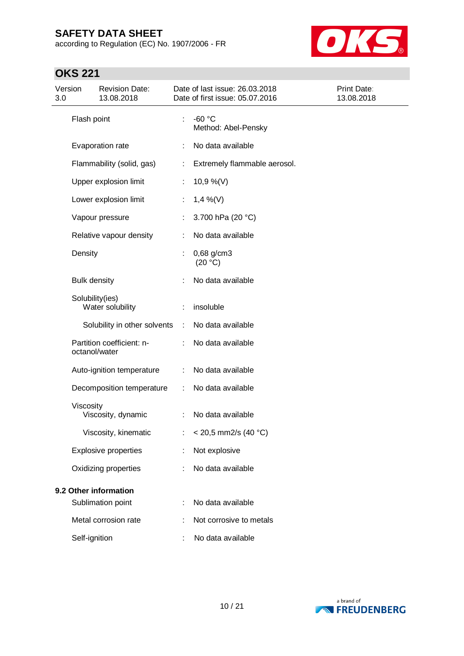according to Regulation (EC) No. 1907/2006 - FR



# **OKS 221**

| Version<br>3.0 |                       | <b>Revision Date:</b><br>13.08.2018 |   | Date of last issue: 26.03.2018<br>Date of first issue: 05.07.2016 | Print Date:<br>13.08.2018 |
|----------------|-----------------------|-------------------------------------|---|-------------------------------------------------------------------|---------------------------|
|                | Flash point           |                                     |   | $-60 °C$<br>Method: Abel-Pensky                                   |                           |
|                |                       | Evaporation rate                    |   | No data available                                                 |                           |
|                |                       | Flammability (solid, gas)           |   | Extremely flammable aerosol.                                      |                           |
|                |                       | Upper explosion limit               | ÷ | 10,9 %(V)                                                         |                           |
|                |                       | Lower explosion limit               | ÷ | $1,4\%$ (V)                                                       |                           |
|                |                       | Vapour pressure                     |   | 3.700 hPa (20 °C)                                                 |                           |
|                |                       | Relative vapour density             |   | No data available                                                 |                           |
|                | Density               |                                     |   | $0,68$ g/cm3<br>(20 °C)                                           |                           |
|                | <b>Bulk density</b>   |                                     |   | No data available                                                 |                           |
|                | Solubility(ies)       | Water solubility                    |   | insoluble                                                         |                           |
|                |                       | Solubility in other solvents        | ÷ | No data available                                                 |                           |
|                | octanol/water         | Partition coefficient: n-           |   | No data available                                                 |                           |
|                |                       | Auto-ignition temperature           | ÷ | No data available                                                 |                           |
|                |                       | Decomposition temperature           | ÷ | No data available                                                 |                           |
|                | Viscosity             | Viscosity, dynamic                  | ÷ | No data available                                                 |                           |
|                |                       | Viscosity, kinematic                |   | $<$ 20,5 mm2/s (40 °C)                                            |                           |
|                |                       | <b>Explosive properties</b>         |   | Not explosive                                                     |                           |
|                |                       | Oxidizing properties                |   | No data available                                                 |                           |
|                | 9.2 Other information |                                     |   |                                                                   |                           |
|                |                       | Sublimation point                   |   | No data available                                                 |                           |
|                |                       | Metal corrosion rate                |   | Not corrosive to metals                                           |                           |
|                | Self-ignition         |                                     |   | No data available                                                 |                           |

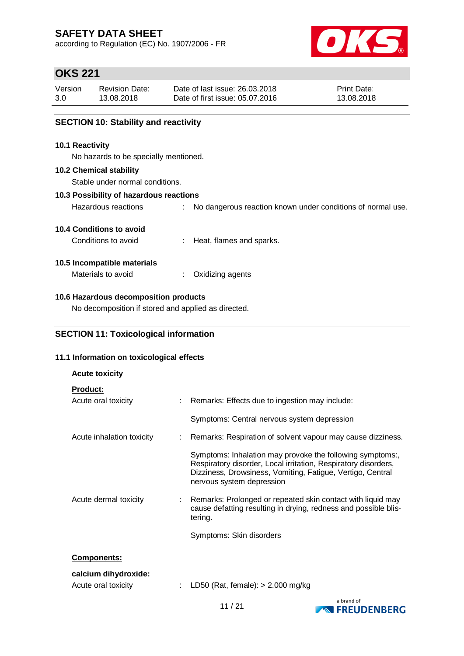according to Regulation (EC) No. 1907/2006 - FR



## **OKS 221**

| Version | <b>Revision Date:</b> | Date of last issue: 26,03,2018  | <b>Print Date:</b> |
|---------|-----------------------|---------------------------------|--------------------|
| 3.0     | 13.08.2018            | Date of first issue: 05.07.2016 | 13.08.2018         |

### **SECTION 10: Stability and reactivity**

#### **10.1 Reactivity**

No hazards to be specially mentioned.

#### **10.2 Chemical stability**

Stable under normal conditions.

#### **10.3 Possibility of hazardous reactions**

Hazardous reactions : No dangerous reaction known under conditions of normal use.

### **10.4 Conditions to avoid**

Conditions to avoid : Heat, flames and sparks.

#### **10.5 Incompatible materials**

Materials to avoid : Oxidizing agents

### **10.6 Hazardous decomposition products**

No decomposition if stored and applied as directed.

### **SECTION 11: Toxicological information**

#### **11.1 Information on toxicological effects**

| <b>Acute toxicity</b>     |                                                                                                                                                                                                                        |
|---------------------------|------------------------------------------------------------------------------------------------------------------------------------------------------------------------------------------------------------------------|
| <b>Product:</b>           |                                                                                                                                                                                                                        |
| Acute oral toxicity       | : Remarks: Effects due to ingestion may include:                                                                                                                                                                       |
|                           | Symptoms: Central nervous system depression                                                                                                                                                                            |
| Acute inhalation toxicity | : Remarks: Respiration of solvent vapour may cause dizziness.                                                                                                                                                          |
|                           | Symptoms: Inhalation may provoke the following symptoms:,<br>Respiratory disorder, Local irritation, Respiratory disorders,<br>Dizziness, Drowsiness, Vomiting, Fatigue, Vertigo, Central<br>nervous system depression |
| Acute dermal toxicity     | : Remarks: Prolonged or repeated skin contact with liquid may<br>cause defatting resulting in drying, redness and possible blis-<br>tering.                                                                            |
|                           | Symptoms: Skin disorders                                                                                                                                                                                               |
| <b>Components:</b>        |                                                                                                                                                                                                                        |
| calcium dihydroxide:      |                                                                                                                                                                                                                        |
| Acute oral toxicity       | LD50 (Rat, female): $> 2.000$ mg/kg                                                                                                                                                                                    |

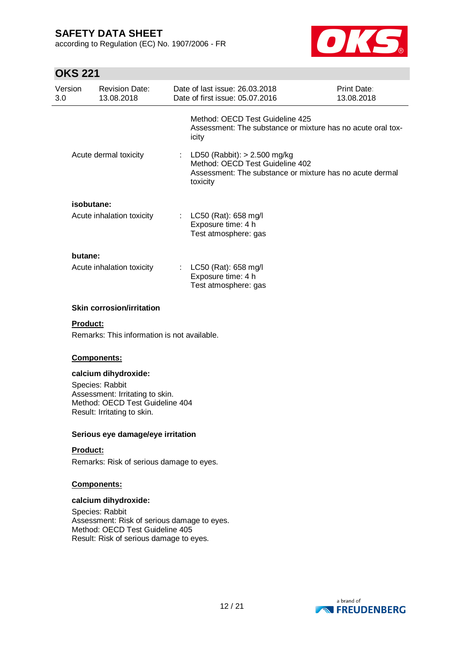according to Regulation (EC) No. 1907/2006 - FR



# $\bigcap$ <sub> $\bigcap$ </sub>  $\bigcap$   $\bigcap$   $\bigcap$   $\bigcap$   $\bigcap$   $\bigcap$   $\bigcap$   $\bigcap$   $\bigcap$   $\bigcap$   $\bigcap$   $\bigcap$   $\bigcap$   $\bigcap$   $\bigcap$   $\bigcap$   $\bigcap$   $\bigcap$   $\bigcap$   $\bigcap$   $\bigcap$   $\bigcap$   $\bigcap$   $\bigcap$   $\bigcap$   $\bigcap$   $\bigcap$   $\bigcap$   $\bigcap$   $\bigcap$   $\bigcap$   $\bigcap$   $\bigcap$   $\bigcap$   $\bigcap$

| OKS 221        |                                                                                                                                              |                                                                                                                                         |                                  |
|----------------|----------------------------------------------------------------------------------------------------------------------------------------------|-----------------------------------------------------------------------------------------------------------------------------------------|----------------------------------|
| Version<br>3.0 | <b>Revision Date:</b><br>13.08.2018                                                                                                          | Date of last issue: 26.03.2018<br>Date of first issue: 05.07.2016                                                                       | <b>Print Date:</b><br>13.08.2018 |
|                |                                                                                                                                              | Method: OECD Test Guideline 425<br>Assessment: The substance or mixture has no acute oral tox-<br>icity                                 |                                  |
|                | Acute dermal toxicity                                                                                                                        | LD50 (Rabbit): > 2.500 mg/kg<br>Method: OECD Test Guideline 402<br>Assessment: The substance or mixture has no acute dermal<br>toxicity |                                  |
| isobutane:     |                                                                                                                                              |                                                                                                                                         |                                  |
|                | Acute inhalation toxicity                                                                                                                    | : LC50 (Rat): 658 mg/l<br>Exposure time: 4 h<br>Test atmosphere: gas                                                                    |                                  |
| butane:        |                                                                                                                                              |                                                                                                                                         |                                  |
|                | Acute inhalation toxicity                                                                                                                    | : $LC50$ (Rat): 658 mg/l<br>Exposure time: 4 h<br>Test atmosphere: gas                                                                  |                                  |
| Product:       | Remarks: This information is not available.<br>Components:<br>calcium dihydroxide:<br>Species: Rabbit                                        |                                                                                                                                         |                                  |
|                | Assessment: Irritating to skin.<br>Method: OECD Test Guideline 404<br>Result: Irritating to skin.                                            |                                                                                                                                         |                                  |
|                | Serious eye damage/eye irritation                                                                                                            |                                                                                                                                         |                                  |
| Product:       | Remarks: Risk of serious damage to eyes.                                                                                                     |                                                                                                                                         |                                  |
|                | <b>Components:</b>                                                                                                                           |                                                                                                                                         |                                  |
|                | calcium dihydroxide:                                                                                                                         |                                                                                                                                         |                                  |
|                | Species: Rabbit<br>Assessment: Risk of serious damage to eyes.<br>Method: OECD Test Guideline 405<br>Result: Risk of serious damage to eyes. |                                                                                                                                         |                                  |
|                |                                                                                                                                              |                                                                                                                                         |                                  |

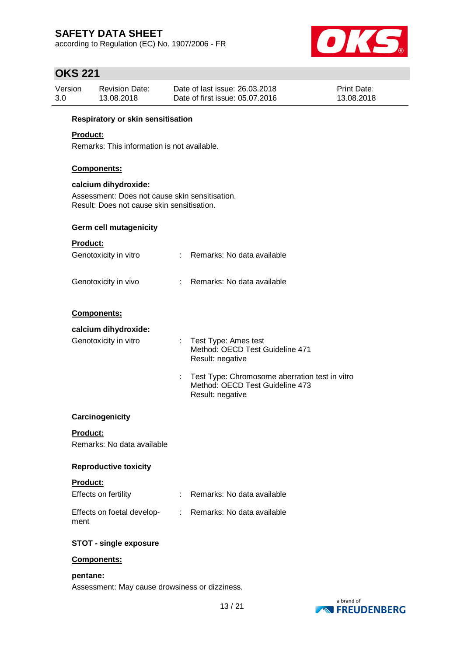according to Regulation (EC) No. 1907/2006 - FR



## **OKS 221**

| Version | <b>Revision Date:</b> | Date of last issue: 26.03.2018  | <b>Print Date:</b> |
|---------|-----------------------|---------------------------------|--------------------|
| 3.0     | 13.08.2018            | Date of first issue: 05.07.2016 | 13.08.2018         |

### **Respiratory or skin sensitisation**

### **Product:**

Remarks: This information is not available.

#### **Components:**

#### **calcium dihydroxide:**

Assessment: Does not cause skin sensitisation. Result: Does not cause skin sensitisation.

### **Germ cell mutagenicity**

### **Product:**

| Genotoxicity in vitro | : Remarks: No data available |
|-----------------------|------------------------------|
|                       |                              |

| Genotoxicity in vivo |  | Remarks: No data available |  |  |  |
|----------------------|--|----------------------------|--|--|--|
|----------------------|--|----------------------------|--|--|--|

#### **Components:**

### **calcium dihydroxide:**

| Genotoxicity in vitro | $:$ Test Type: Ames test<br>Method: OECD Test Guideline 471<br>Result: negative     |
|-----------------------|-------------------------------------------------------------------------------------|
|                       | : Test Type: Chromosome aberration test in vitro<br>Method: OECD Test Guideline 473 |

Result: negative

### **Carcinogenicity**

**Product:** Remarks: No data available

#### **Reproductive toxicity**

| Product:                           |                              |
|------------------------------------|------------------------------|
| Effects on fertility               | : Remarks: No data available |
| Effects on foetal develop-<br>ment | : Remarks: No data available |

#### **STOT - single exposure**

#### **Components:**

#### **pentane:**

Assessment: May cause drowsiness or dizziness.

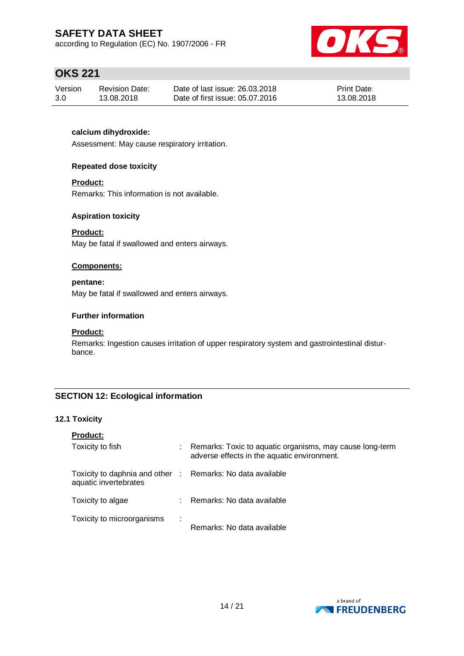according to Regulation (EC) No. 1907/2006 - FR



## **OKS 221**

| Version | Revision Date: | Date of last issue: 26,03,2018  | <b>Print Date:</b> |
|---------|----------------|---------------------------------|--------------------|
| 3.0     | 13.08.2018     | Date of first issue: 05.07.2016 | 13.08.2018         |

### **calcium dihydroxide:**

Assessment: May cause respiratory irritation.

#### **Repeated dose toxicity**

#### **Product:**

Remarks: This information is not available.

#### **Aspiration toxicity**

### **Product:**

May be fatal if swallowed and enters airways.

#### **Components:**

#### **pentane:**

May be fatal if swallowed and enters airways.

#### **Further information**

#### **Product:**

Remarks: Ingestion causes irritation of upper respiratory system and gastrointestinal disturbance.

### **SECTION 12: Ecological information**

#### **12.1 Toxicity**

| <b>Product:</b>                                                                     |   |                                                                                                         |
|-------------------------------------------------------------------------------------|---|---------------------------------------------------------------------------------------------------------|
| Toxicity to fish                                                                    |   | Remarks: Toxic to aquatic organisms, may cause long-term<br>adverse effects in the aquatic environment. |
| Toxicity to daphnia and other : Remarks: No data available<br>aquatic invertebrates |   |                                                                                                         |
| Toxicity to algae                                                                   |   | : Remarks: No data available                                                                            |
| Toxicity to microorganisms                                                          | ÷ | Remarks: No data available                                                                              |

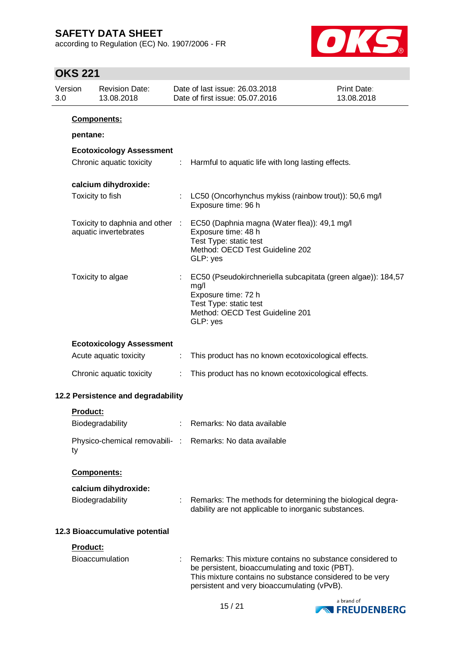according to Regulation (EC) No. 1907/2006 - FR



# **OKS 221**

| Version<br>3.0 |                    | <b>Revision Date:</b><br>13.08.2018                      |   | Date of last issue: 26.03.2018<br>Date of first issue: 05.07.2016                                                                                                                                                       | <b>Print Date:</b><br>13.08.2018 |
|----------------|--------------------|----------------------------------------------------------|---|-------------------------------------------------------------------------------------------------------------------------------------------------------------------------------------------------------------------------|----------------------------------|
|                | <b>Components:</b> |                                                          |   |                                                                                                                                                                                                                         |                                  |
|                | pentane:           |                                                          |   |                                                                                                                                                                                                                         |                                  |
|                |                    | <b>Ecotoxicology Assessment</b>                          |   |                                                                                                                                                                                                                         |                                  |
|                |                    | Chronic aquatic toxicity                                 | ÷ | Harmful to aquatic life with long lasting effects.                                                                                                                                                                      |                                  |
|                |                    | calcium dihydroxide:                                     |   |                                                                                                                                                                                                                         |                                  |
|                | Toxicity to fish   |                                                          |   | LC50 (Oncorhynchus mykiss (rainbow trout)): 50,6 mg/l<br>Exposure time: 96 h                                                                                                                                            |                                  |
|                |                    | Toxicity to daphnia and other :<br>aquatic invertebrates |   | EC50 (Daphnia magna (Water flea)): 49,1 mg/l<br>Exposure time: 48 h<br>Test Type: static test<br>Method: OECD Test Guideline 202<br>GLP: yes                                                                            |                                  |
|                |                    | Toxicity to algae                                        | ÷ | EC50 (Pseudokirchneriella subcapitata (green algae)): 184,57<br>mg/l<br>Exposure time: 72 h<br>Test Type: static test<br>Method: OECD Test Guideline 201<br>GLP: yes                                                    |                                  |
|                |                    | <b>Ecotoxicology Assessment</b>                          |   |                                                                                                                                                                                                                         |                                  |
|                |                    | Acute aquatic toxicity                                   | ÷ | This product has no known ecotoxicological effects.                                                                                                                                                                     |                                  |
|                |                    | Chronic aquatic toxicity                                 | ÷ | This product has no known ecotoxicological effects.                                                                                                                                                                     |                                  |
|                |                    | 12.2 Persistence and degradability                       |   |                                                                                                                                                                                                                         |                                  |
|                | <b>Product:</b>    |                                                          |   |                                                                                                                                                                                                                         |                                  |
|                |                    | Biodegradability                                         |   | Remarks: No data available                                                                                                                                                                                              |                                  |
|                | ty                 |                                                          |   | Physico-chemical removabili- : Remarks: No data available                                                                                                                                                               |                                  |
|                | Components:        |                                                          |   |                                                                                                                                                                                                                         |                                  |
|                |                    | calcium dihydroxide:<br>Biodegradability                 |   | Remarks: The methods for determining the biological degra-<br>dability are not applicable to inorganic substances.                                                                                                      |                                  |
|                |                    | 12.3 Bioaccumulative potential                           |   |                                                                                                                                                                                                                         |                                  |
|                | Product:           | Bioaccumulation                                          |   | Remarks: This mixture contains no substance considered to<br>be persistent, bioaccumulating and toxic (PBT).<br>This mixture contains no substance considered to be very<br>persistent and very bioaccumulating (vPvB). |                                  |
|                |                    |                                                          |   |                                                                                                                                                                                                                         | a brand of                       |

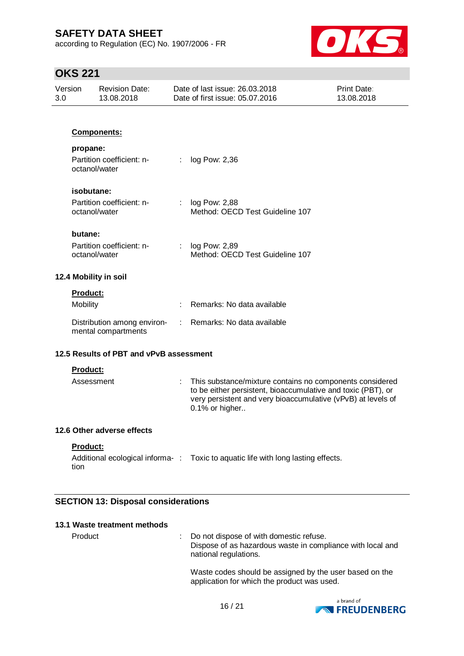according to Regulation (EC) No. 1907/2006 - FR



## **OKS 221**

| Version<br>3.0 | <b>Revision Date:</b><br>13.08.2018                |                | Date of last issue: 26.03.2018<br>Date of first issue: 05.07.2016                                                                                                                                          | <b>Print Date:</b><br>13.08.2018 |
|----------------|----------------------------------------------------|----------------|------------------------------------------------------------------------------------------------------------------------------------------------------------------------------------------------------------|----------------------------------|
|                |                                                    |                |                                                                                                                                                                                                            |                                  |
|                | <b>Components:</b>                                 |                |                                                                                                                                                                                                            |                                  |
| propane:       |                                                    |                |                                                                                                                                                                                                            |                                  |
|                | Partition coefficient: n-<br>octanol/water         | ÷              | log Pow: 2,36                                                                                                                                                                                              |                                  |
|                | isobutane:                                         |                |                                                                                                                                                                                                            |                                  |
|                | Partition coefficient: n-<br>octanol/water         | $\mathbb{R}^n$ | log Pow: 2,88<br>Method: OECD Test Guideline 107                                                                                                                                                           |                                  |
| butane:        |                                                    |                |                                                                                                                                                                                                            |                                  |
|                | Partition coefficient: n-<br>octanol/water         | ÷              | log Pow: 2,89<br>Method: OECD Test Guideline 107                                                                                                                                                           |                                  |
|                | 12.4 Mobility in soil                              |                |                                                                                                                                                                                                            |                                  |
| Product:       |                                                    |                |                                                                                                                                                                                                            |                                  |
| Mobility       |                                                    |                | Remarks: No data available                                                                                                                                                                                 |                                  |
|                | Distribution among environ-<br>mental compartments | ÷              | Remarks: No data available                                                                                                                                                                                 |                                  |
|                | 12.5 Results of PBT and vPvB assessment            |                |                                                                                                                                                                                                            |                                  |
| Product:       |                                                    |                |                                                                                                                                                                                                            |                                  |
|                | Assessment                                         |                | This substance/mixture contains no components considered<br>to be either persistent, bioaccumulative and toxic (PBT), or<br>very persistent and very bioaccumulative (vPvB) at levels of<br>0.1% or higher |                                  |
|                | 12.6 Other adverse effects                         |                |                                                                                                                                                                                                            |                                  |
| Product:       |                                                    |                |                                                                                                                                                                                                            |                                  |
| tion           |                                                    |                | Additional ecological informa-: Toxic to aquatic life with long lasting effects.                                                                                                                           |                                  |
|                |                                                    |                |                                                                                                                                                                                                            |                                  |

### **SECTION 13: Disposal considerations**

### **13.1 Waste treatment methods**

Product : Do not dispose of with domestic refuse. Dispose of as hazardous waste in compliance with local and national regulations.

> Waste codes should be assigned by the user based on the application for which the product was used.

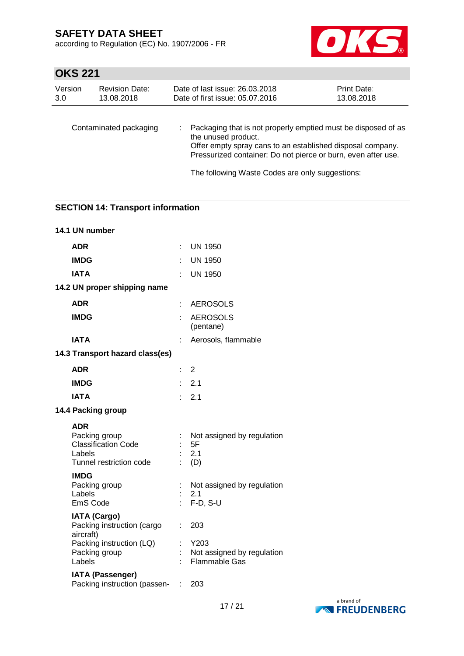according to Regulation (EC) No. 1907/2006 - FR



# **OKS 221**

| Version | <b>Revision Date:</b>  | Date of last issue: 26.03.2018                                                                                                                                                                                                                                         | Print Date: |
|---------|------------------------|------------------------------------------------------------------------------------------------------------------------------------------------------------------------------------------------------------------------------------------------------------------------|-------------|
| 3.0     | 13.08.2018             | Date of first issue: 05.07.2016                                                                                                                                                                                                                                        | 13.08.2018  |
|         | Contaminated packaging | Packaging that is not properly emptied must be disposed of as<br>the unused product.<br>Offer empty spray cans to an established disposal company.<br>Pressurized container: Do not pierce or burn, even after use.<br>The following Waste Codes are only suggestions: |             |

### **SECTION 14: Transport information**

| 14.1 UN number                                                                                 |    |                                                            |
|------------------------------------------------------------------------------------------------|----|------------------------------------------------------------|
| <b>ADR</b>                                                                                     | t. | <b>UN 1950</b>                                             |
| <b>IMDG</b>                                                                                    |    | <b>UN 1950</b>                                             |
| <b>IATA</b>                                                                                    |    | <b>UN 1950</b>                                             |
| 14.2 UN proper shipping name                                                                   |    |                                                            |
| <b>ADR</b>                                                                                     | t. | <b>AEROSOLS</b>                                            |
| <b>IMDG</b>                                                                                    |    | <b>AEROSOLS</b><br>(pentane)                               |
| <b>IATA</b>                                                                                    | t  | Aerosols, flammable                                        |
| 14.3 Transport hazard class(es)                                                                |    |                                                            |
| <b>ADR</b>                                                                                     | ÷. | $\overline{2}$                                             |
| <b>IMDG</b>                                                                                    |    | $\therefore$ 2.1                                           |
| <b>IATA</b>                                                                                    |    | $\therefore$ 2.1                                           |
| 14.4 Packing group                                                                             |    |                                                            |
| <b>ADR</b><br>Packing group<br><b>Classification Code</b><br>Labels<br>Tunnel restriction code |    | Not assigned by regulation<br>5F<br>2.1<br>(D)             |
| <b>IMDG</b><br>Packing group<br>Labels<br><b>EmS Code</b>                                      |    | Not assigned by regulation<br>2.1<br>$F-D, S-U$            |
| <b>IATA (Cargo)</b><br>Packing instruction (cargo<br>aircraft)                                 | t. | 203                                                        |
| Packing instruction (LQ)<br>Packing group<br>Labels                                            |    | Y203<br>Not assigned by regulation<br><b>Flammable Gas</b> |
| <b>IATA (Passenger)</b><br>Packing instruction (passen-                                        |    | 203                                                        |

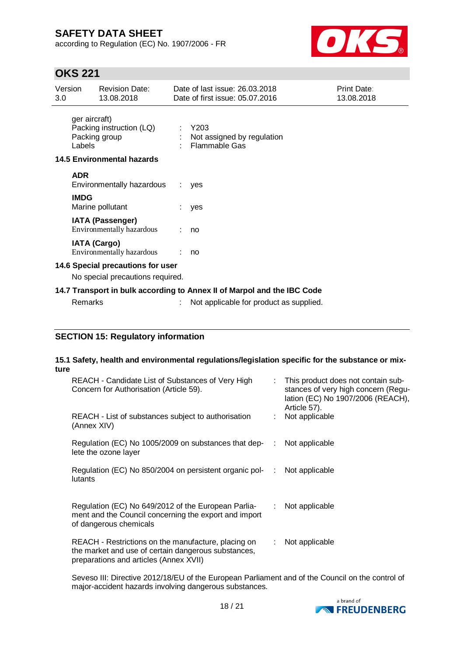according to Regulation (EC) No. 1907/2006 - FR



## **OKS 221**

| Version<br>3.0                                                       |                                                                         | <b>Revision Date:</b><br>13.08.2018                  |                                                         | Date of last issue: 26,03,2018<br>Date of first issue: 05.07.2016 | Print Date:<br>13.08.2018 |
|----------------------------------------------------------------------|-------------------------------------------------------------------------|------------------------------------------------------|---------------------------------------------------------|-------------------------------------------------------------------|---------------------------|
| ger aircraft)<br>Packing instruction (LQ)<br>Packing group<br>Labels |                                                                         |                                                      | $:$ Y203<br>Not assigned by regulation<br>Flammable Gas |                                                                   |                           |
|                                                                      |                                                                         | <b>14.5 Environmental hazards</b>                    |                                                         |                                                                   |                           |
|                                                                      | <b>ADR</b>                                                              | Environmentally hazardous                            | ÷.                                                      | yes                                                               |                           |
|                                                                      | <b>IMDG</b>                                                             | Marine pollutant                                     |                                                         | yes                                                               |                           |
|                                                                      |                                                                         | <b>IATA (Passenger)</b><br>Environmentally hazardous |                                                         | no                                                                |                           |
|                                                                      | <b>IATA (Cargo)</b>                                                     | Environmentally hazardous                            |                                                         | no                                                                |                           |
|                                                                      | 14.6 Special precautions for user                                       |                                                      |                                                         |                                                                   |                           |
| No special precautions required.                                     |                                                                         |                                                      |                                                         |                                                                   |                           |
|                                                                      | 14.7 Transport in bulk according to Annex II of Marpol and the IBC Code |                                                      |                                                         |                                                                   |                           |
|                                                                      | Remarks                                                                 |                                                      |                                                         | Not applicable for product as supplied.                           |                           |

### **SECTION 15: Regulatory information**

### **15.1 Safety, health and environmental regulations/legislation specific for the substance or mixture**

| REACH - Candidate List of Substances of Very High<br>Concern for Authorisation (Article 59).                                                         |    | This product does not contain sub-<br>stances of very high concern (Regu-<br>lation (EC) No 1907/2006 (REACH),<br>Article 57). |
|------------------------------------------------------------------------------------------------------------------------------------------------------|----|--------------------------------------------------------------------------------------------------------------------------------|
| REACH - List of substances subject to authorisation<br>(Annex XIV)                                                                                   |    | Not applicable                                                                                                                 |
| Regulation (EC) No 1005/2009 on substances that dep-<br>lete the ozone layer                                                                         | ÷  | Not applicable                                                                                                                 |
| Regulation (EC) No 850/2004 on persistent organic pol-<br>lutants                                                                                    | ÷  | Not applicable                                                                                                                 |
| Regulation (EC) No 649/2012 of the European Parlia-<br>ment and the Council concerning the export and import<br>of dangerous chemicals               | ÷. | Not applicable                                                                                                                 |
| REACH - Restrictions on the manufacture, placing on<br>the market and use of certain dangerous substances,<br>preparations and articles (Annex XVII) | ÷. | Not applicable                                                                                                                 |

Seveso III: Directive 2012/18/EU of the European Parliament and of the Council on the control of major-accident hazards involving dangerous substances.

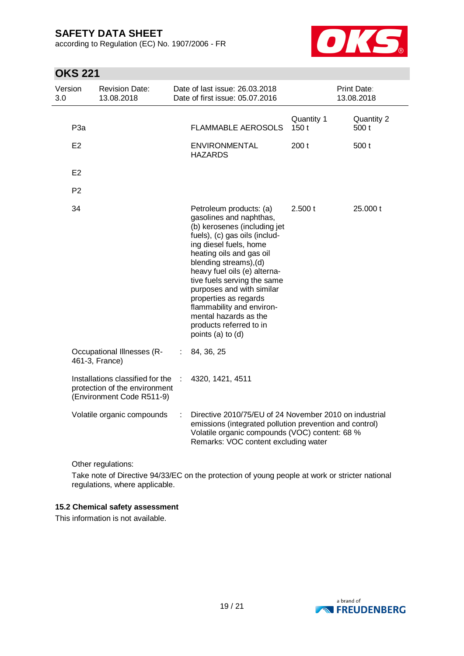according to Regulation (EC) No. 1907/2006 - FR



# **OKS 221**

| Version<br>3.0  | <b>Revision Date:</b><br>13.08.2018                                                            |   | Date of last issue: 26.03.2018<br>Date of first issue: 05.07.2016                                                                                                                                                                                                                                                                                                                                                              |                    | Print Date:<br>13.08.2018 |
|-----------------|------------------------------------------------------------------------------------------------|---|--------------------------------------------------------------------------------------------------------------------------------------------------------------------------------------------------------------------------------------------------------------------------------------------------------------------------------------------------------------------------------------------------------------------------------|--------------------|---------------------------|
| P <sub>3a</sub> |                                                                                                |   | <b>FLAMMABLE AEROSOLS</b>                                                                                                                                                                                                                                                                                                                                                                                                      | Quantity 1<br>150t | Quantity 2<br>500 t       |
| E2              |                                                                                                |   | <b>ENVIRONMENTAL</b><br><b>HAZARDS</b>                                                                                                                                                                                                                                                                                                                                                                                         | 200 <sub>t</sub>   | 500 t                     |
| E <sub>2</sub>  |                                                                                                |   |                                                                                                                                                                                                                                                                                                                                                                                                                                |                    |                           |
| P <sub>2</sub>  |                                                                                                |   |                                                                                                                                                                                                                                                                                                                                                                                                                                |                    |                           |
| 34              |                                                                                                |   | Petroleum products: (a)<br>gasolines and naphthas,<br>(b) kerosenes (including jet<br>fuels), (c) gas oils (includ-<br>ing diesel fuels, home<br>heating oils and gas oil<br>blending streams), (d)<br>heavy fuel oils (e) alterna-<br>tive fuels serving the same<br>purposes and with similar<br>properties as regards<br>flammability and environ-<br>mental hazards as the<br>products referred to in<br>points (a) to (d) | 2.500 t            | 25.000 t                  |
|                 | Occupational Illnesses (R-<br>461-3, France)                                                   | ÷ | 84, 36, 25                                                                                                                                                                                                                                                                                                                                                                                                                     |                    |                           |
|                 | Installations classified for the<br>protection of the environment<br>(Environment Code R511-9) |   | 4320, 1421, 4511                                                                                                                                                                                                                                                                                                                                                                                                               |                    |                           |
|                 | Volatile organic compounds                                                                     |   | Directive 2010/75/EU of 24 November 2010 on industrial<br>emissions (integrated pollution prevention and control)<br>Volatile organic compounds (VOC) content: 68 %<br>Remarks: VOC content excluding water                                                                                                                                                                                                                    |                    |                           |

Other regulations:

Take note of Directive 94/33/EC on the protection of young people at work or stricter national regulations, where applicable.

### **15.2 Chemical safety assessment**

This information is not available.

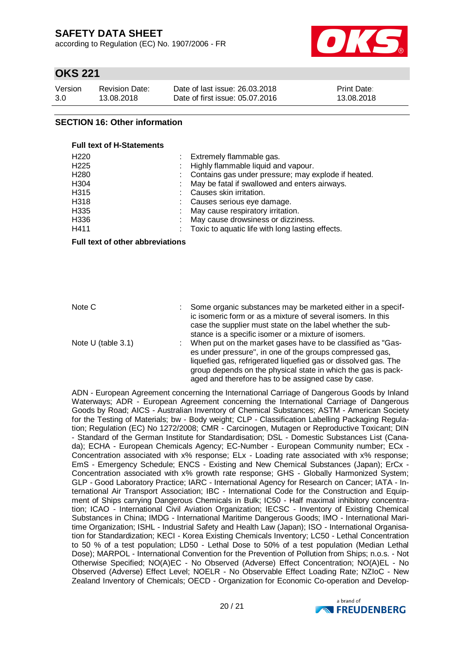according to Regulation (EC) No. 1907/2006 - FR



## **OKS 221**

| Version | <b>Revision Date:</b> | Date of last issue: 26.03.2018  | <b>Print Date:</b> |
|---------|-----------------------|---------------------------------|--------------------|
| 3.0     | 13.08.2018            | Date of first issue: 05.07.2016 | 13.08.2018         |

### **SECTION 16: Other information**

**Full text of H-Statements**

| H <sub>220</sub> | Extremely flammable gas.                              |
|------------------|-------------------------------------------------------|
| H <sub>225</sub> | Highly flammable liquid and vapour.                   |
| H <sub>280</sub> | : Contains gas under pressure; may explode if heated. |
| H <sub>304</sub> | May be fatal if swallowed and enters airways.         |
| H315             | Causes skin irritation.                               |
| H318             | : Causes serious eye damage.                          |
| H335             | May cause respiratory irritation.                     |
| H336             | May cause drowsiness or dizziness.                    |
| H411             | Toxic to aquatic life with long lasting effects.      |
|                  |                                                       |

**Full text of other abbreviations**

| Note C               | Some organic substances may be marketed either in a specif-<br>ic isomeric form or as a mixture of several isomers. In this<br>case the supplier must state on the label whether the sub-<br>stance is a specific isomer or a mixture of isomers.                                                                  |
|----------------------|--------------------------------------------------------------------------------------------------------------------------------------------------------------------------------------------------------------------------------------------------------------------------------------------------------------------|
| Note $U$ (table 3.1) | When put on the market gases have to be classified as "Gas-<br>es under pressure", in one of the groups compressed gas,<br>liquefied gas, refrigerated liquefied gas or dissolved gas. The<br>group depends on the physical state in which the gas is pack-<br>aged and therefore has to be assigned case by case. |

ADN - European Agreement concerning the International Carriage of Dangerous Goods by Inland Waterways; ADR - European Agreement concerning the International Carriage of Dangerous Goods by Road; AICS - Australian Inventory of Chemical Substances; ASTM - American Society for the Testing of Materials; bw - Body weight; CLP - Classification Labelling Packaging Regulation; Regulation (EC) No 1272/2008; CMR - Carcinogen, Mutagen or Reproductive Toxicant; DIN - Standard of the German Institute for Standardisation; DSL - Domestic Substances List (Canada); ECHA - European Chemicals Agency; EC-Number - European Community number; ECx - Concentration associated with x% response; ELx - Loading rate associated with x% response; EmS - Emergency Schedule; ENCS - Existing and New Chemical Substances (Japan); ErCx - Concentration associated with x% growth rate response; GHS - Globally Harmonized System; GLP - Good Laboratory Practice; IARC - International Agency for Research on Cancer; IATA - International Air Transport Association; IBC - International Code for the Construction and Equipment of Ships carrying Dangerous Chemicals in Bulk; IC50 - Half maximal inhibitory concentration; ICAO - International Civil Aviation Organization; IECSC - Inventory of Existing Chemical Substances in China; IMDG - International Maritime Dangerous Goods; IMO - International Maritime Organization; ISHL - Industrial Safety and Health Law (Japan); ISO - International Organisation for Standardization; KECI - Korea Existing Chemicals Inventory; LC50 - Lethal Concentration to 50 % of a test population; LD50 - Lethal Dose to 50% of a test population (Median Lethal Dose); MARPOL - International Convention for the Prevention of Pollution from Ships; n.o.s. - Not Otherwise Specified; NO(A)EC - No Observed (Adverse) Effect Concentration; NO(A)EL - No Observed (Adverse) Effect Level; NOELR - No Observable Effect Loading Rate; NZIoC - New Zealand Inventory of Chemicals; OECD - Organization for Economic Co-operation and Develop-